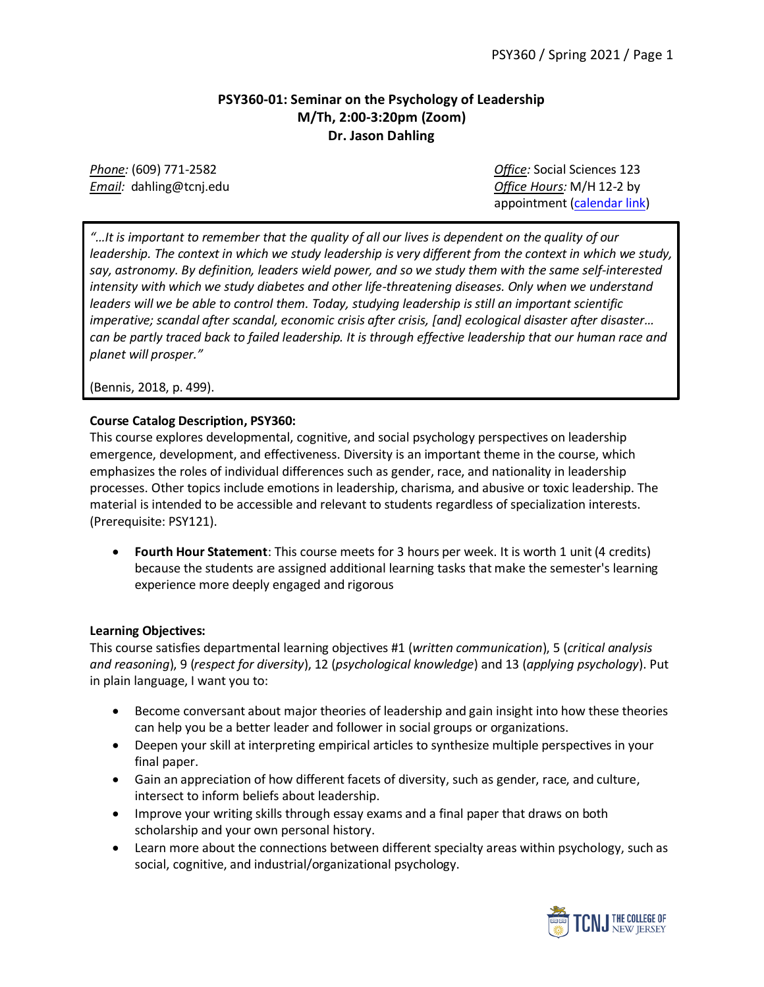# **PSY360-01: Seminar on the Psychology of Leadership M/Th, 2:00-3:20pm (Zoom) Dr. Jason Dahling**

*Phone:* (609) 771-2582 *Office:* Social Sciences 123 *Email:* dahling@tcnj.edu *Office Hours:* M/H 12-2 by appointment [\(calendar link\)](https://calendar.google.com/calendar/selfsched?sstoken=UUxuajFYQWlBcWVqfGRlZmF1bHR8NzFhZmI3YzdhNDdiMTU3MTdjMjc3Nzc4OWE1NWY0ZmU)

*"…It is important to remember that the quality of all our lives is dependent on the quality of our leadership. The context in which we study leadership is very different from the context in which we study, say, astronomy. By definition, leaders wield power, and so we study them with the same self-interested intensity with which we study diabetes and other life-threatening diseases. Only when we understand leaders will we be able to control them. Today, studying leadership is still an important scientific imperative; scandal after scandal, economic crisis after crisis, [and] ecological disaster after disaster… can be partly traced back to failed leadership. It is through effective leadership that our human race and planet will prosper."*

(Bennis, 2018, p. 499).

# **Course Catalog Description, PSY360:**

This course explores developmental, cognitive, and social psychology perspectives on leadership emergence, development, and effectiveness. Diversity is an important theme in the course, which emphasizes the roles of individual differences such as gender, race, and nationality in leadership processes. Other topics include emotions in leadership, charisma, and abusive or toxic leadership. The material is intended to be accessible and relevant to students regardless of specialization interests. (Prerequisite: PSY121).

• **Fourth Hour Statement**: This course meets for 3 hours per week. It is worth 1 unit (4 credits) because the students are assigned additional learning tasks that make the semester's learning experience more deeply engaged and rigorous

### **Learning Objectives:**

This course satisfies departmental learning objectives #1 (*written communication*), 5 (*critical analysis and reasoning*), 9 (*respect for diversity*), 12 (*psychological knowledge*) and 13 (*applying psychology*). Put in plain language, I want you to:

- Become conversant about major theories of leadership and gain insight into how these theories can help you be a better leader and follower in social groups or organizations.
- Deepen your skill at interpreting empirical articles to synthesize multiple perspectives in your final paper.
- Gain an appreciation of how different facets of diversity, such as gender, race, and culture, intersect to inform beliefs about leadership.
- Improve your writing skills through essay exams and a final paper that draws on both scholarship and your own personal history.
- Learn more about the connections between different specialty areas within psychology, such as social, cognitive, and industrial/organizational psychology.

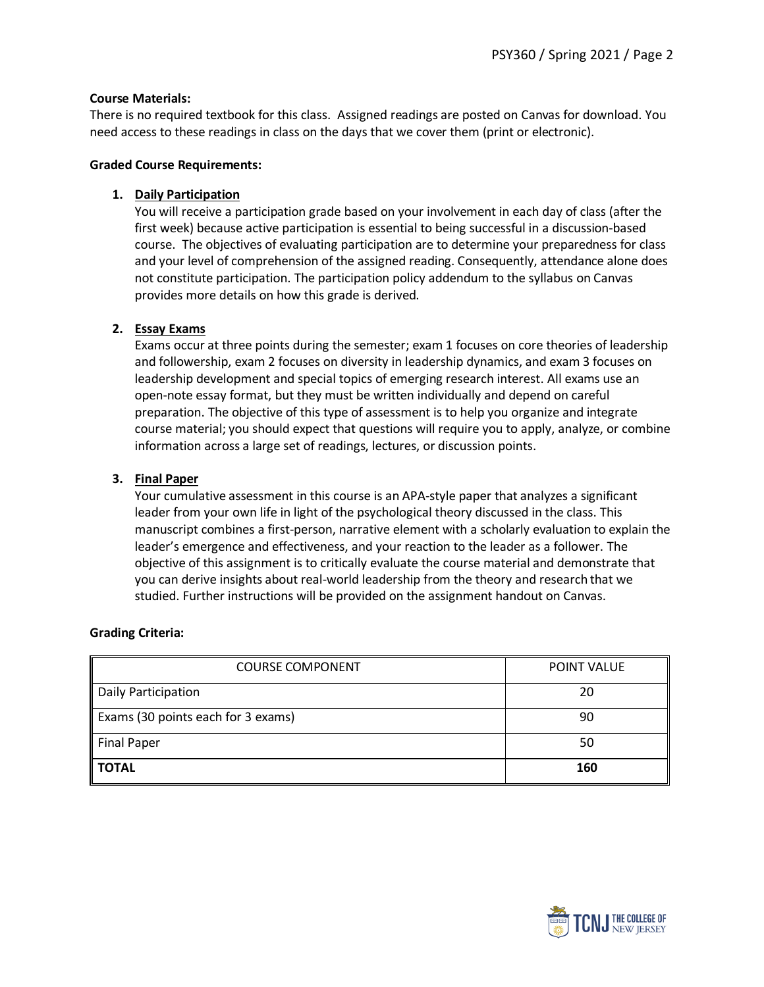### **Course Materials:**

There is no required textbook for this class. Assigned readings are posted on Canvas for download. You need access to these readings in class on the days that we cover them (print or electronic).

#### **Graded Course Requirements:**

### **1. Daily Participation**

You will receive a participation grade based on your involvement in each day of class (after the first week) because active participation is essential to being successful in a discussion-based course. The objectives of evaluating participation are to determine your preparedness for class and your level of comprehension of the assigned reading. Consequently, attendance alone does not constitute participation. The participation policy addendum to the syllabus on Canvas provides more details on how this grade is derived.

# **2. Essay Exams**

Exams occur at three points during the semester; exam 1 focuses on core theories of leadership and followership, exam 2 focuses on diversity in leadership dynamics, and exam 3 focuses on leadership development and special topics of emerging research interest. All exams use an open-note essay format, but they must be written individually and depend on careful preparation. The objective of this type of assessment is to help you organize and integrate course material; you should expect that questions will require you to apply, analyze, or combine information across a large set of readings, lectures, or discussion points.

# **3. Final Paper**

Your cumulative assessment in this course is an APA-style paper that analyzes a significant leader from your own life in light of the psychological theory discussed in the class. This manuscript combines a first-person, narrative element with a scholarly evaluation to explain the leader's emergence and effectiveness, and your reaction to the leader as a follower. The objective of this assignment is to critically evaluate the course material and demonstrate that you can derive insights about real-world leadership from the theory and research that we studied. Further instructions will be provided on the assignment handout on Canvas.

### **Grading Criteria:**

| <b>COURSE COMPONENT</b>            | POINT VALUE |
|------------------------------------|-------------|
| Daily Participation                | 20          |
| Exams (30 points each for 3 exams) | 90          |
| <b>Final Paper</b>                 | 50          |
| <b>TOTAL</b>                       | 160         |

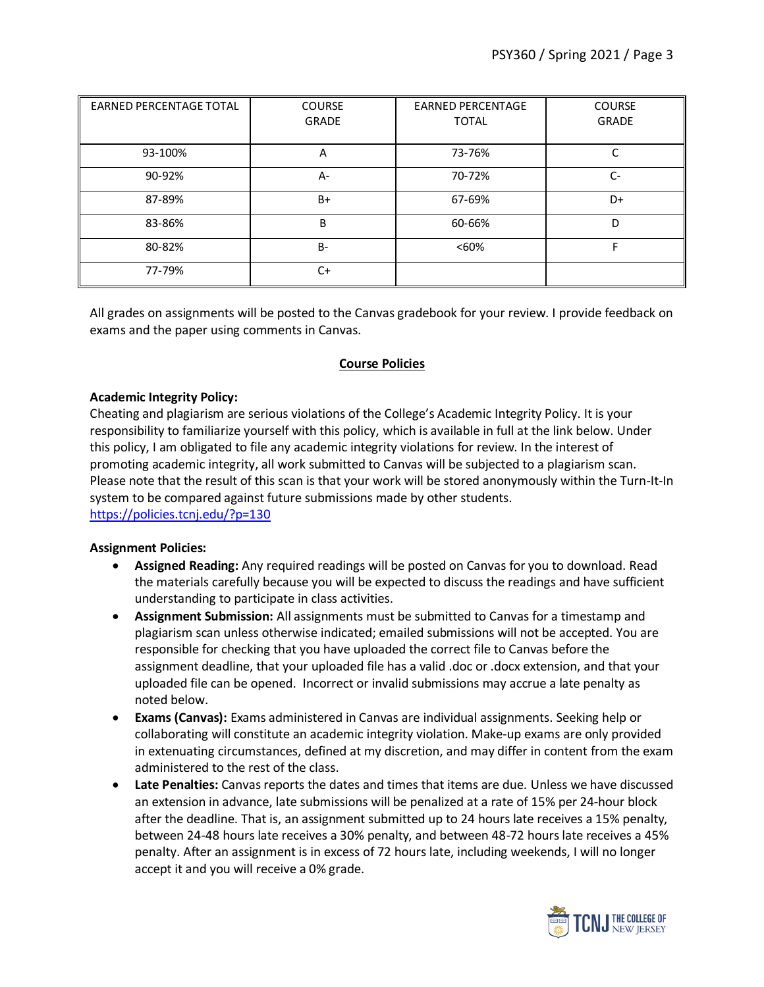| <b>EARNED PERCENTAGE TOTAL</b> | <b>COURSE</b> | <b>EARNED PERCENTAGE</b> | <b>COURSE</b> |
|--------------------------------|---------------|--------------------------|---------------|
|                                | GRADE         | <b>TOTAL</b>             | GRADE         |
|                                |               |                          |               |
| 93-100%                        | Α             | 73-76%                   | C             |
| 90-92%                         | A-            | 70-72%                   | $C-$          |
| 87-89%                         | $B+$          | 67-69%                   | D+            |
| 83-86%                         | B             | 60-66%                   | D             |
| 80-82%                         | $B -$         | <60%                     |               |
| 77-79%                         | $C+$          |                          |               |

All grades on assignments will be posted to the Canvas gradebook for your review. I provide feedback on exams and the paper using comments in Canvas.

# **Course Policies**

### **Academic Integrity Policy:**

Cheating and plagiarism are serious violations of the College's Academic Integrity Policy. It is your responsibility to familiarize yourself with this policy, which is available in full at the link below. Under this policy, I am obligated to file any academic integrity violations for review. In the interest of promoting academic integrity, all work submitted to Canvas will be subjected to a plagiarism scan. Please note that the result of this scan is that your work will be stored anonymously within the Turn-It-In system to be compared against future submissions made by other students. <https://policies.tcnj.edu/?p=130>

### **Assignment Policies:**

- **Assigned Reading:** Any required readings will be posted on Canvas for you to download. Read the materials carefully because you will be expected to discuss the readings and have sufficient understanding to participate in class activities.
- **Assignment Submission:** All assignments must be submitted to Canvas for a timestamp and plagiarism scan unless otherwise indicated; emailed submissions will not be accepted. You are responsible for checking that you have uploaded the correct file to Canvas before the assignment deadline, that your uploaded file has a valid .doc or .docx extension, and that your uploaded file can be opened. Incorrect or invalid submissions may accrue a late penalty as noted below.
- **Exams (Canvas):** Exams administered in Canvas are individual assignments. Seeking help or collaborating will constitute an academic integrity violation. Make-up exams are only provided in extenuating circumstances, defined at my discretion, and may differ in content from the exam administered to the rest of the class.
- **Late Penalties:** Canvas reports the dates and times that items are due. Unless we have discussed an extension in advance, late submissions will be penalized at a rate of 15% per 24-hour block after the deadline. That is, an assignment submitted up to 24 hours late receives a 15% penalty, between 24-48 hours late receives a 30% penalty, and between 48-72 hours late receives a 45% penalty. After an assignment is in excess of 72 hours late, including weekends, I will no longer accept it and you will receive a 0% grade.

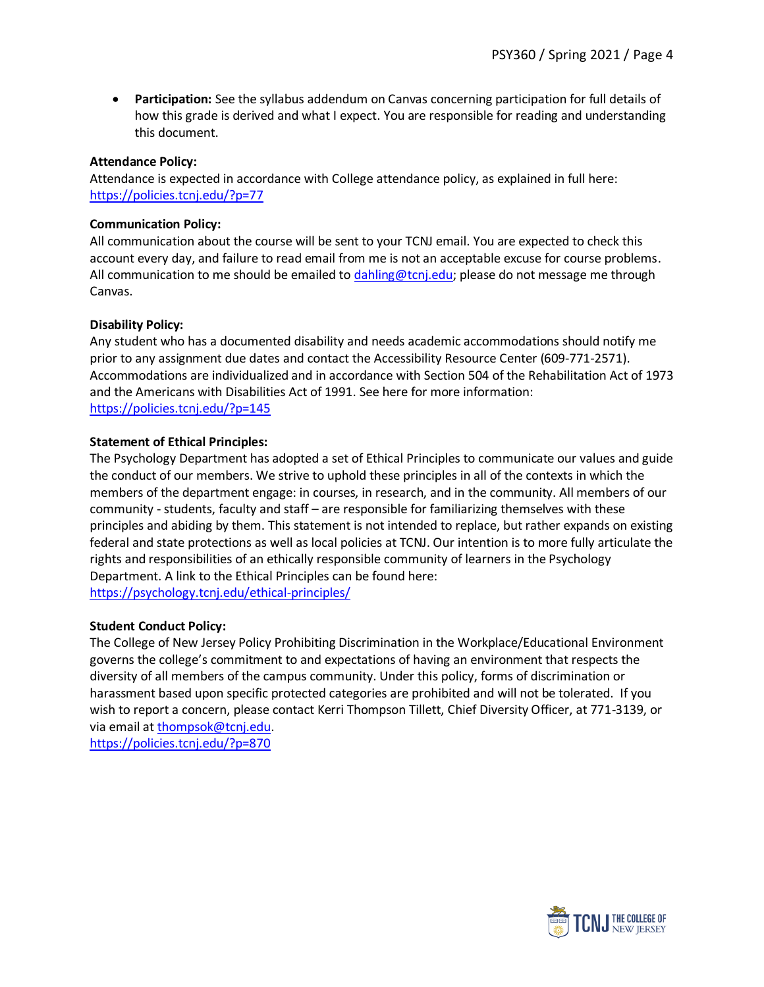• **Participation:** See the syllabus addendum on Canvas concerning participation for full details of how this grade is derived and what I expect. You are responsible for reading and understanding this document.

#### **Attendance Policy:**

Attendance is expected in accordance with College attendance policy, as explained in full here: <https://policies.tcnj.edu/?p=77>

#### **Communication Policy:**

All communication about the course will be sent to your TCNJ email. You are expected to check this account every day, and failure to read email from me is not an acceptable excuse for course problems. All communication to me should be emailed t[o dahling@tcnj.edu;](mailto:dahling@tcnj.edu) please do not message me through Canvas.

### **Disability Policy:**

Any student who has a documented disability and needs academic accommodations should notify me prior to any assignment due dates and contact the Accessibility Resource Center (609-771-2571). Accommodations are individualized and in accordance with Section 504 of the Rehabilitation Act of 1973 and the Americans with Disabilities Act of 1991. See here for more information: <https://policies.tcnj.edu/?p=145>

### **Statement of Ethical Principles:**

The Psychology Department has adopted a set of Ethical Principles to communicate our values and guide the conduct of our members. We strive to uphold these principles in all of the contexts in which the members of the department engage: in courses, in research, and in the community. All members of our community - students, faculty and staff – are responsible for familiarizing themselves with these principles and abiding by them. This statement is not intended to replace, but rather expands on existing federal and state protections as well as local policies at TCNJ. Our intention is to more fully articulate the rights and responsibilities of an ethically responsible community of learners in the Psychology Department. A link to the Ethical Principles can be found here: <https://psychology.tcnj.edu/ethical-principles/>

### **Student Conduct Policy:**

The College of New Jersey Policy Prohibiting Discrimination in the Workplace/Educational Environment governs the college's commitment to and expectations of having an environment that respects the diversity of all members of the campus community. Under this policy, forms of discrimination or harassment based upon specific protected categories are prohibited and will not be tolerated. If you wish to report a concern, please contact Kerri Thompson Tillett, Chief Diversity Officer, at 771-3139, or via email at [thompsok@tcnj.edu.](mailto:thompsok@tcnj.edu) <https://policies.tcnj.edu/?p=870>

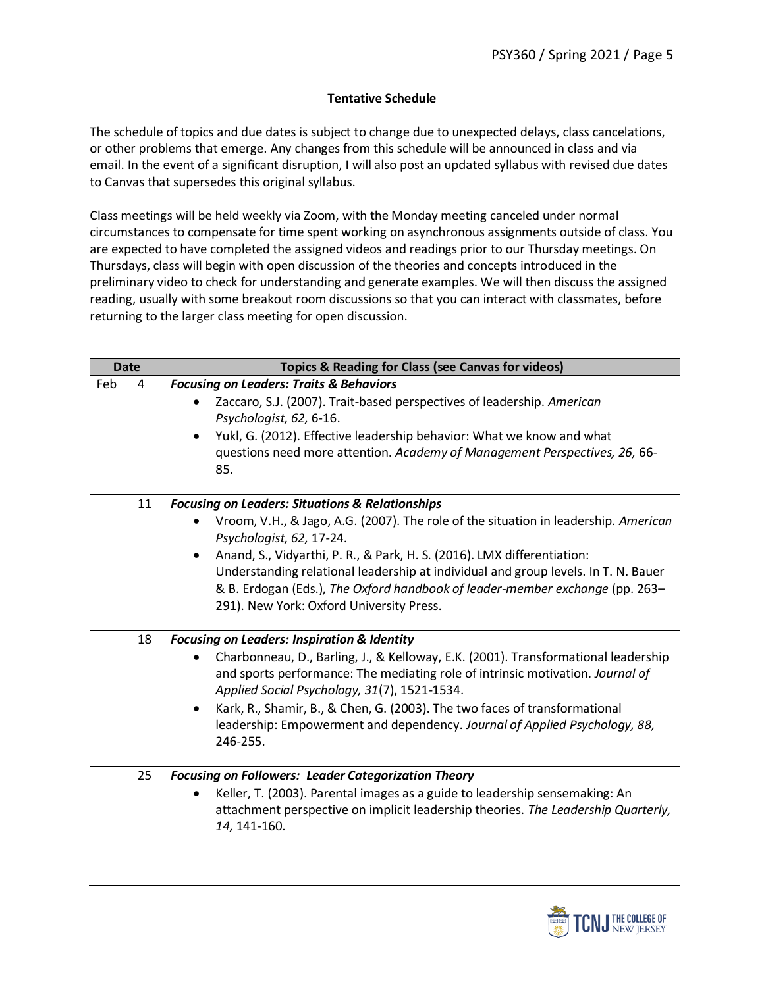# **Tentative Schedule**

The schedule of topics and due dates is subject to change due to unexpected delays, class cancelations, or other problems that emerge. Any changes from this schedule will be announced in class and via email. In the event of a significant disruption, I will also post an updated syllabus with revised due dates to Canvas that supersedes this original syllabus.

Class meetings will be held weekly via Zoom, with the Monday meeting canceled under normal circumstances to compensate for time spent working on asynchronous assignments outside of class. You are expected to have completed the assigned videos and readings prior to our Thursday meetings. On Thursdays, class will begin with open discussion of the theories and concepts introduced in the preliminary video to check for understanding and generate examples. We will then discuss the assigned reading, usually with some breakout room discussions so that you can interact with classmates, before returning to the larger class meeting for open discussion.

| <b>Date</b> |    | Topics & Reading for Class (see Canvas for videos)                                                                                                                                                                                                                                                                                                                                                                                                                                      |
|-------------|----|-----------------------------------------------------------------------------------------------------------------------------------------------------------------------------------------------------------------------------------------------------------------------------------------------------------------------------------------------------------------------------------------------------------------------------------------------------------------------------------------|
| Feb         | 4  | <b>Focusing on Leaders: Traits &amp; Behaviors</b><br>Zaccaro, S.J. (2007). Trait-based perspectives of leadership. American<br>Psychologist, 62, 6-16.<br>Yukl, G. (2012). Effective leadership behavior: What we know and what<br>questions need more attention. Academy of Management Perspectives, 26, 66-<br>85.                                                                                                                                                                   |
|             | 11 | <b>Focusing on Leaders: Situations &amp; Relationships</b><br>Vroom, V.H., & Jago, A.G. (2007). The role of the situation in leadership. American<br>Psychologist, 62, 17-24.<br>Anand, S., Vidyarthi, P. R., & Park, H. S. (2016). LMX differentiation:<br>$\bullet$<br>Understanding relational leadership at individual and group levels. In T. N. Bauer<br>& B. Erdogan (Eds.), The Oxford handbook of leader-member exchange (pp. 263-<br>291). New York: Oxford University Press. |
|             | 18 | <b>Focusing on Leaders: Inspiration &amp; Identity</b><br>Charbonneau, D., Barling, J., & Kelloway, E.K. (2001). Transformational leadership<br>and sports performance: The mediating role of intrinsic motivation. Journal of<br>Applied Social Psychology, 31(7), 1521-1534.<br>Kark, R., Shamir, B., & Chen, G. (2003). The two faces of transformational<br>$\bullet$<br>leadership: Empowerment and dependency. Journal of Applied Psychology, 88,<br>246-255.                     |
|             | 25 | <b>Focusing on Followers: Leader Categorization Theory</b><br>Keller, T. (2003). Parental images as a guide to leadership sensemaking: An<br>attachment perspective on implicit leadership theories. The Leadership Quarterly,<br>14, 141-160.                                                                                                                                                                                                                                          |

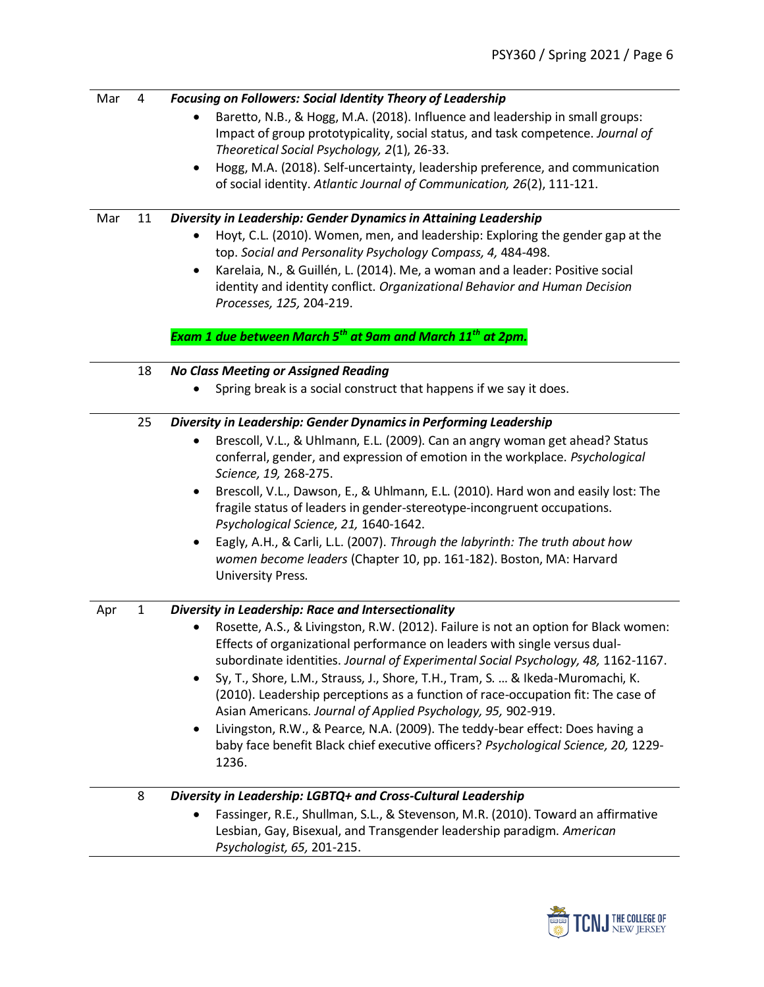| Mar<br>Mar | 4<br>11      | <b>Focusing on Followers: Social Identity Theory of Leadership</b><br>Baretto, N.B., & Hogg, M.A. (2018). Influence and leadership in small groups:<br>Impact of group prototypicality, social status, and task competence. Journal of<br>Theoretical Social Psychology, 2(1), 26-33.<br>Hogg, M.A. (2018). Self-uncertainty, leadership preference, and communication<br>$\bullet$<br>of social identity. Atlantic Journal of Communication, 26(2), 111-121.<br>Diversity in Leadership: Gender Dynamics in Attaining Leadership<br>Hoyt, C.L. (2010). Women, men, and leadership: Exploring the gender gap at the                                                                                                                                          |
|------------|--------------|--------------------------------------------------------------------------------------------------------------------------------------------------------------------------------------------------------------------------------------------------------------------------------------------------------------------------------------------------------------------------------------------------------------------------------------------------------------------------------------------------------------------------------------------------------------------------------------------------------------------------------------------------------------------------------------------------------------------------------------------------------------|
|            |              | top. Social and Personality Psychology Compass, 4, 484-498.<br>Karelaia, N., & Guillén, L. (2014). Me, a woman and a leader: Positive social<br>$\bullet$<br>identity and identity conflict. Organizational Behavior and Human Decision<br>Processes, 125, 204-219.<br>Exam 1 due between March 5 <sup>th</sup> at 9am and March 11 <sup>th</sup> at 2pm.                                                                                                                                                                                                                                                                                                                                                                                                    |
|            |              |                                                                                                                                                                                                                                                                                                                                                                                                                                                                                                                                                                                                                                                                                                                                                              |
|            | 18           | <b>No Class Meeting or Assigned Reading</b><br>Spring break is a social construct that happens if we say it does.                                                                                                                                                                                                                                                                                                                                                                                                                                                                                                                                                                                                                                            |
|            | 25           | Diversity in Leadership: Gender Dynamics in Performing Leadership<br>Brescoll, V.L., & Uhlmann, E.L. (2009). Can an angry woman get ahead? Status<br>conferral, gender, and expression of emotion in the workplace. Psychological<br>Science, 19, 268-275.<br>Brescoll, V.L., Dawson, E., & Uhlmann, E.L. (2010). Hard won and easily lost: The<br>٠<br>fragile status of leaders in gender-stereotype-incongruent occupations.<br>Psychological Science, 21, 1640-1642.<br>Eagly, A.H., & Carli, L.L. (2007). Through the labyrinth: The truth about how<br>٠<br>women become leaders (Chapter 10, pp. 161-182). Boston, MA: Harvard<br>University Press.                                                                                                   |
| Apr        | $\mathbf{1}$ | Diversity in Leadership: Race and Intersectionality<br>Rosette, A.S., & Livingston, R.W. (2012). Failure is not an option for Black women:<br>Effects of organizational performance on leaders with single versus dual-<br>subordinate identities. Journal of Experimental Social Psychology, 48, 1162-1167.<br>Sy, T., Shore, L.M., Strauss, J., Shore, T.H., Tram, S.  & Ikeda-Muromachi, K.<br>$\bullet$<br>(2010). Leadership perceptions as a function of race-occupation fit: The case of<br>Asian Americans. Journal of Applied Psychology, 95, 902-919.<br>Livingston, R.W., & Pearce, N.A. (2009). The teddy-bear effect: Does having a<br>$\bullet$<br>baby face benefit Black chief executive officers? Psychological Science, 20, 1229-<br>1236. |
|            | 8            | Diversity in Leadership: LGBTQ+ and Cross-Cultural Leadership<br>Fassinger, R.E., Shullman, S.L., & Stevenson, M.R. (2010). Toward an affirmative<br>Lesbian, Gay, Bisexual, and Transgender leadership paradigm. American<br>Psychologist, 65, 201-215.                                                                                                                                                                                                                                                                                                                                                                                                                                                                                                     |